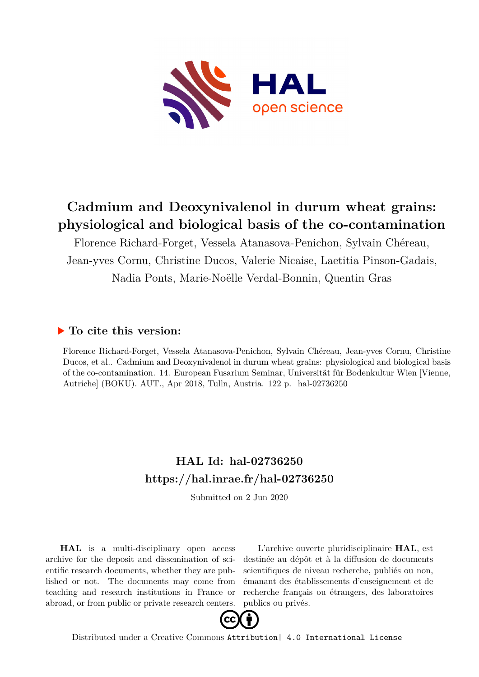

## **Cadmium and Deoxynivalenol in durum wheat grains: physiological and biological basis of the co-contamination**

Florence Richard-Forget, Vessela Atanasova-Penichon, Sylvain Chéreau, Jean-yves Cornu, Christine Ducos, Valerie Nicaise, Laetitia Pinson-Gadais, Nadia Ponts, Marie-Noëlle Verdal-Bonnin, Quentin Gras

#### **To cite this version:**

Florence Richard-Forget, Vessela Atanasova-Penichon, Sylvain Chéreau, Jean-yves Cornu, Christine Ducos, et al.. Cadmium and Deoxynivalenol in durum wheat grains: physiological and biological basis of the co-contamination. 14. European Fusarium Seminar, Universität für Bodenkultur Wien [Vienne, Autriche] (BOKU). AUT., Apr 2018, Tulln, Austria. 122 p. hal-02736250

### **HAL Id: hal-02736250 <https://hal.inrae.fr/hal-02736250>**

Submitted on 2 Jun 2020

**HAL** is a multi-disciplinary open access archive for the deposit and dissemination of scientific research documents, whether they are published or not. The documents may come from teaching and research institutions in France or abroad, or from public or private research centers.

L'archive ouverte pluridisciplinaire **HAL**, est destinée au dépôt et à la diffusion de documents scientifiques de niveau recherche, publiés ou non, émanant des établissements d'enseignement et de recherche français ou étrangers, des laboratoires publics ou privés.



Distributed under a Creative Commons [Attribution| 4.0 International License](http://creativecommons.org/licenses/by/4.0/)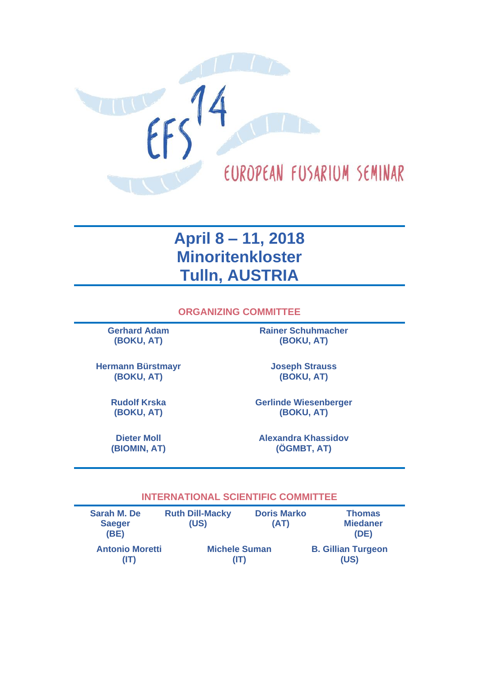

## **April 8 – 11, 2018 Minoritenkloster Tulln, AUSTRIA**

**ORGANIZING COMMITTEE**

**Gerhard Adam (BOKU, AT)**

**Rainer Schuhmacher (BOKU, AT)**

**Hermann Bürstmayr (BOKU, AT)**

**Joseph Strauss (BOKU, AT)**

**Rudolf Krska (BOKU, AT)**

**Dieter Moll (BIOMIN, AT)** **Gerlinde Wiesenberger (BOKU, AT)**

**Alexandra Khassidov (ÖGMBT, AT)**

#### **INTERNATIONAL SCIENTIFIC COMMITTEE**

| <b>Sarah M. De</b><br><b>Saeger</b><br>(BE) | <b>Ruth Dill-Macky</b><br>(US) | <b>Doris Marko</b><br>(AT) | <b>Thomas</b><br><b>Miedaner</b><br>(DE) |
|---------------------------------------------|--------------------------------|----------------------------|------------------------------------------|
| <b>Antonio Moretti</b>                      | <b>Michele Suman</b>           |                            | <b>B. Gillian Turgeon</b>                |
| (IT)                                        | (IT)                           |                            | (US)                                     |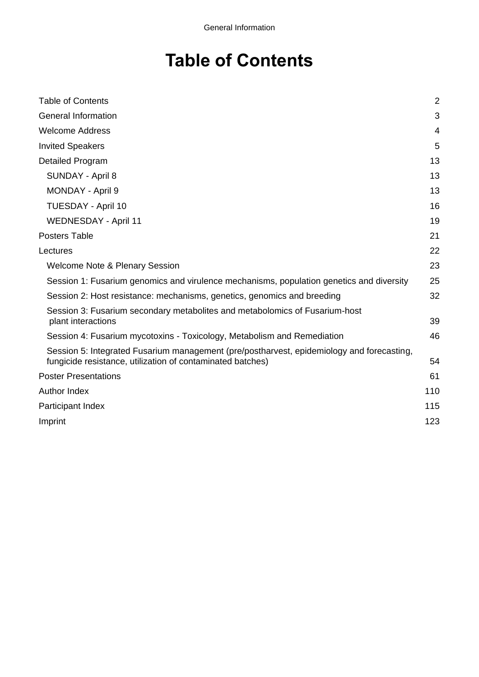# **Table of Contents**

| <b>Table of Contents</b>                                                                                                                                | $\overline{2}$ |
|---------------------------------------------------------------------------------------------------------------------------------------------------------|----------------|
| <b>General Information</b>                                                                                                                              |                |
| <b>Welcome Address</b>                                                                                                                                  |                |
| <b>Invited Speakers</b>                                                                                                                                 |                |
| <b>Detailed Program</b>                                                                                                                                 | 13             |
| SUNDAY - April 8                                                                                                                                        | 13             |
| <b>MONDAY - April 9</b>                                                                                                                                 | 13             |
| <b>TUESDAY - April 10</b>                                                                                                                               |                |
| <b>WEDNESDAY - April 11</b>                                                                                                                             |                |
| <b>Posters Table</b>                                                                                                                                    |                |
| Lectures                                                                                                                                                |                |
| <b>Welcome Note &amp; Plenary Session</b>                                                                                                               |                |
| Session 1: Fusarium genomics and virulence mechanisms, population genetics and diversity                                                                |                |
| Session 2: Host resistance: mechanisms, genetics, genomics and breeding                                                                                 |                |
| Session 3: Fusarium secondary metabolites and metabolomics of Fusarium-host<br>plant interactions                                                       | 39             |
| Session 4: Fusarium mycotoxins - Toxicology, Metabolism and Remediation                                                                                 |                |
| Session 5: Integrated Fusarium management (pre/postharvest, epidemiology and forecasting,<br>fungicide resistance, utilization of contaminated batches) | 54             |
| <b>Poster Presentations</b>                                                                                                                             |                |
| Author Index                                                                                                                                            |                |
| Participant Index                                                                                                                                       |                |
| Imprint                                                                                                                                                 | 123            |